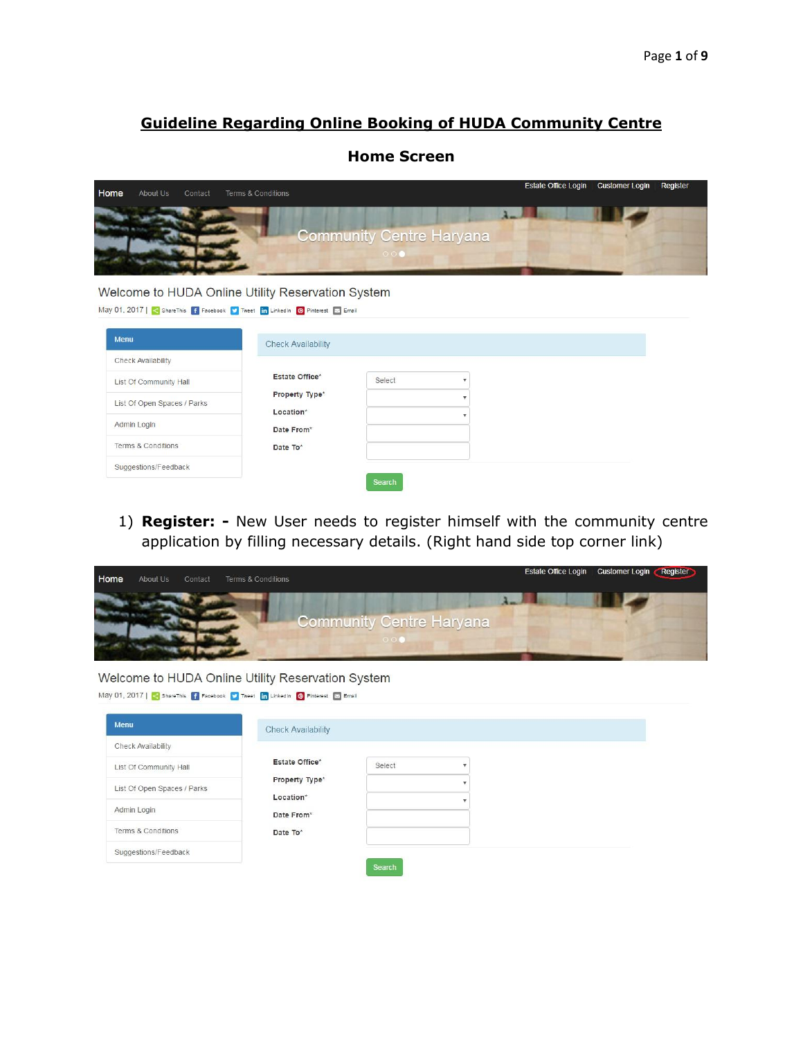## **Guideline Regarding Online Booking of HUDA Community Centre**

## **Home Screen**

| Home | About Us | Contact | <b>Terms &amp; Conditions</b> |                                                      | Estate Office Login Customer Login Register |  |
|------|----------|---------|-------------------------------|------------------------------------------------------|---------------------------------------------|--|
|      |          |         |                               | <b>Community Centre Haryana</b><br>$\odot$ $\odot$ i |                                             |  |

## Welcome to HUDA Online Utility Reservation System

| Menu                        | <b>Check Availability</b> |        |  |
|-----------------------------|---------------------------|--------|--|
| Check Availability          |                           |        |  |
| List Of Community Hall      | Estate Office*            | Select |  |
| List Of Open Spaces / Parks | Property Type*            |        |  |
|                             | Location*                 |        |  |
| Admin Login                 | Date From*                |        |  |
| Terms & Conditions          | Date To*                  |        |  |
| Suggestions/Feedback        |                           |        |  |

1) **Register: -** New User needs to register himself with the community centre application by filling necessary details. (Right hand side top corner link)

| Home | About Us | Contact | <b>Terms &amp; Conditions</b> |                                            | Estate Office Login Customer Login Register |
|------|----------|---------|-------------------------------|--------------------------------------------|---------------------------------------------|
|      |          |         |                               | <b>Community Centre Haryana</b><br>(0, 10) |                                             |

## Welcome to HUDA Online Utility Reservation System

| May 01, 2017   < ShareThis   f Facebook   Tweet   in LinkedIn   @ Pinterest   E Email |  |  |  |
|---------------------------------------------------------------------------------------|--|--|--|
|                                                                                       |  |  |  |

| Menu                        | <b>Check Availability</b> |        |  |
|-----------------------------|---------------------------|--------|--|
| Check Availability          |                           |        |  |
| List Of Community Hall      | Estate Office*            | Select |  |
| List Of Open Spaces / Parks | Property Type*            |        |  |
| Admin Login                 | Location*<br>Date From*   |        |  |
| Terms & Conditions          | Date To*                  |        |  |
| Suggestions/Feedback        |                           |        |  |
|                             |                           | Search |  |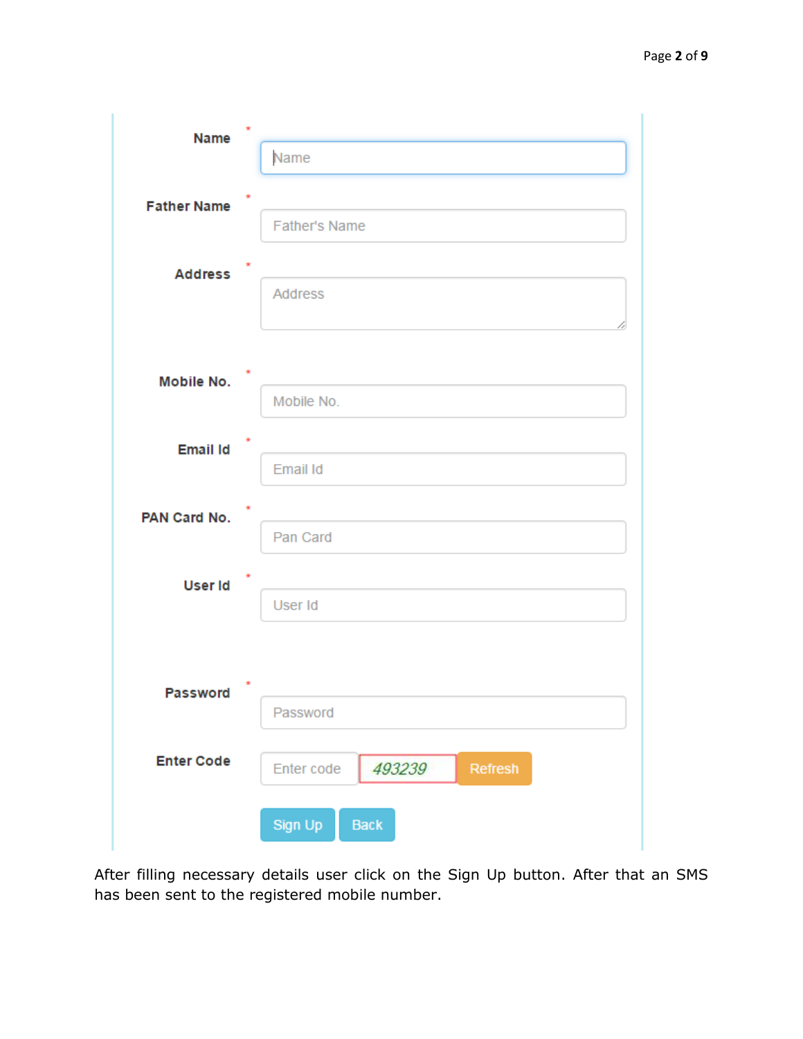| <b>Name</b>        | $\star$                         |
|--------------------|---------------------------------|
|                    | Name                            |
| <b>Father Name</b> |                                 |
|                    | <b>Father's Name</b>            |
|                    |                                 |
| <b>Address</b>     | Address                         |
|                    |                                 |
|                    |                                 |
| Mobile No.         |                                 |
|                    | Mobile No.                      |
| <b>Email Id</b>    |                                 |
|                    | Email Id                        |
| PAN Card No.       |                                 |
|                    | Pan Card                        |
|                    | ×                               |
| User Id            | User Id                         |
|                    |                                 |
|                    |                                 |
| <b>Password</b>    |                                 |
|                    | Password                        |
| <b>Enter Code</b>  | 493239<br>Enter code<br>Refresh |
|                    |                                 |
|                    | Sign Up<br>Back                 |

After filling necessary details user click on the Sign Up button. After that an SMS has been sent to the registered mobile number.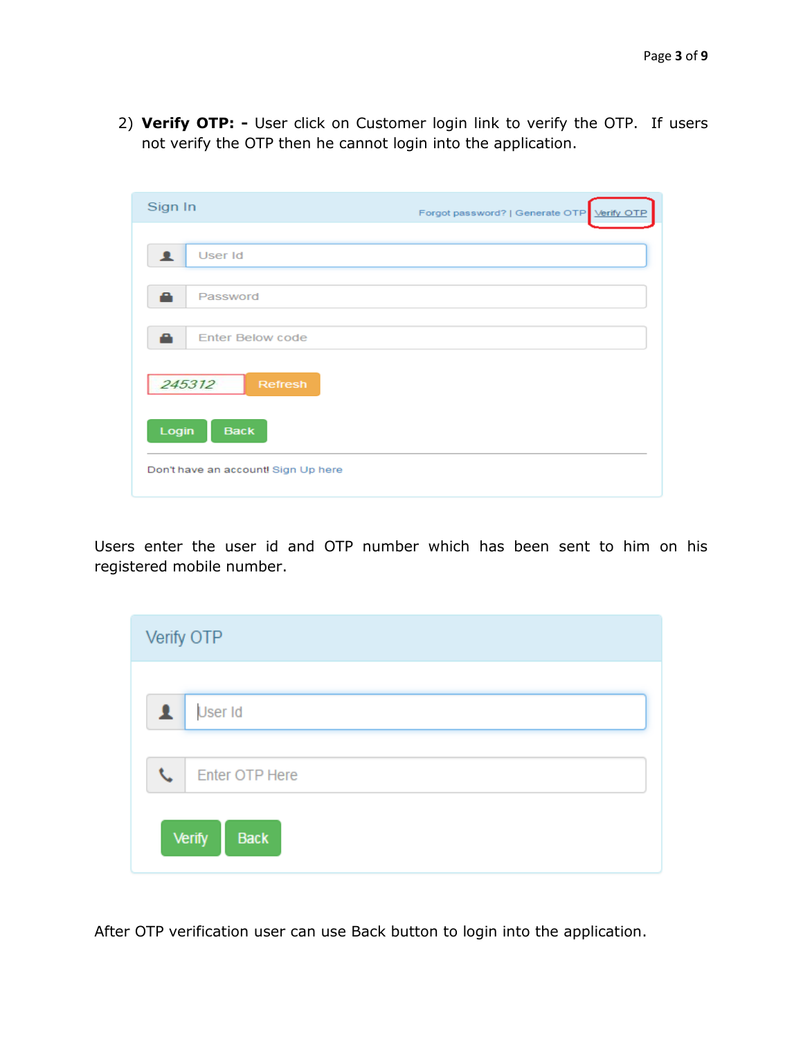2) **Verify OTP: -** User click on Customer login link to verify the OTP. If users not verify the OTP then he cannot login into the application.

| Sign In                             | Forgot password?   Generate OTP Verify OTP |
|-------------------------------------|--------------------------------------------|
| User Id                             |                                            |
| Password                            |                                            |
| <b>Enter Below code</b><br>≏        |                                            |
| 245312<br>Refresh                   |                                            |
| Login<br><b>Back</b>                |                                            |
| Don't have an account! Sign Up here |                                            |

Users enter the user id and OTP number which has been sent to him on his registered mobile number.

| Verify OTP                   |  |
|------------------------------|--|
| $\mathbf{L}$ User Id         |  |
| Enter OTP Here<br>J          |  |
| <b>Verify</b><br><b>Back</b> |  |

After OTP verification user can use Back button to login into the application.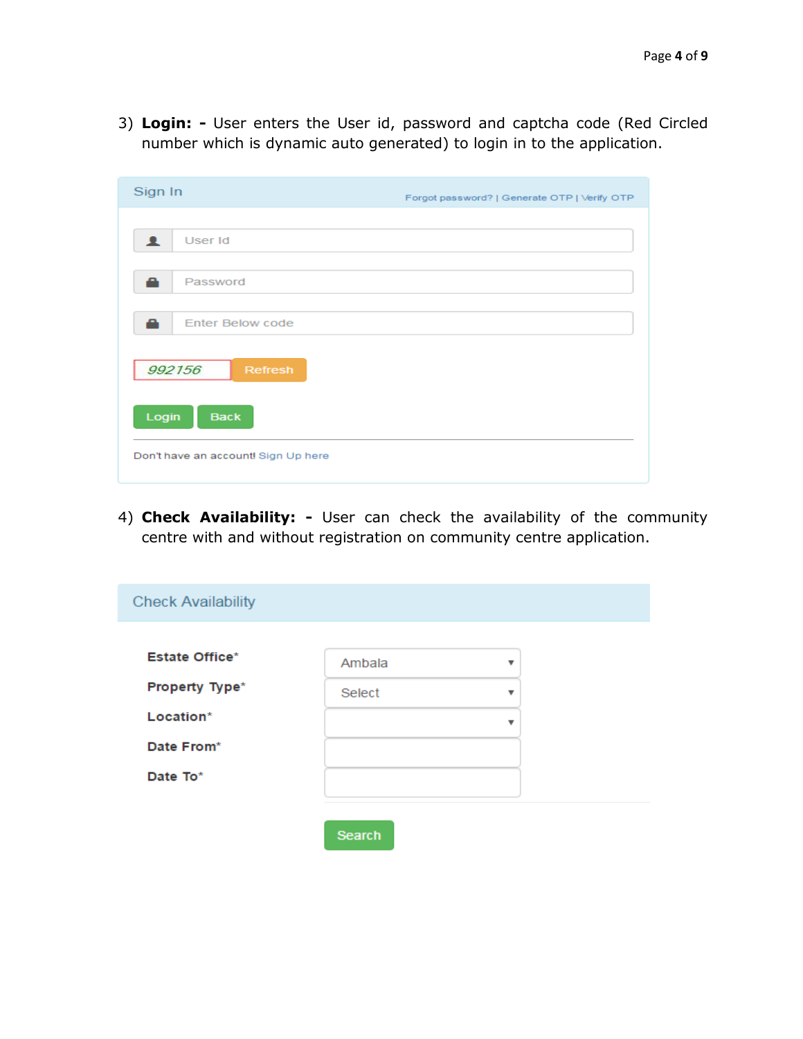3) **Login: -** User enters the User id, password and captcha code (Red Circled number which is dynamic auto generated) to login in to the application.

| Sign In                             | Forgot password?   Generate OTP   Verify OTP |
|-------------------------------------|----------------------------------------------|
| User Id<br>▴                        |                                              |
| Password<br>a                       |                                              |
| <b>Enter Below code</b><br>a        |                                              |
| 992156<br>Refresh                   |                                              |
| Login<br><b>Back</b>                |                                              |
| Don't have an account! Sign Up here |                                              |

4) **Check Availability: -** User can check the availability of the community centre with and without registration on community centre application.

| <b>Check Availability</b> |               |                          |
|---------------------------|---------------|--------------------------|
| <b>Estate Office*</b>     | Ambala        | $\overline{\mathbf{v}}$  |
| Property Type*            | Select        | $\overline{\phantom{a}}$ |
| Location*                 |               | ▼                        |
| Date From*                |               |                          |
| Date To*                  |               |                          |
|                           |               |                          |
|                           | <b>Search</b> |                          |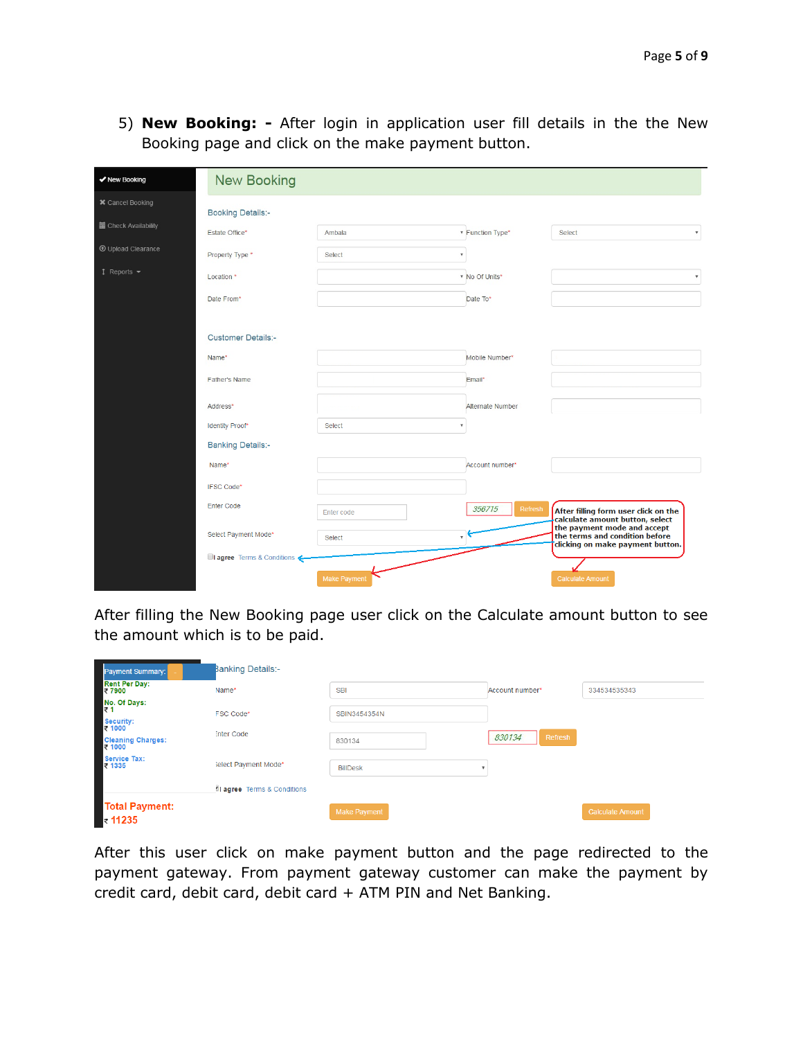5) **New Booking: -** After login in application user fill details in the the New Booking page and click on the make payment button.

| ✔ New Booking                     | <b>New Booking</b>            |              |                         |                                                                                                   |
|-----------------------------------|-------------------------------|--------------|-------------------------|---------------------------------------------------------------------------------------------------|
| <b>*</b> Cancel Booking           | <b>Booking Details:-</b>      |              |                         |                                                                                                   |
| <b>■ Check Availability</b>       | Estate Office*                | Ambala       | <b>Function Type*</b>   | Select<br>$\boldsymbol{\mathrm{v}}$                                                               |
| <b>1</b> Upload Clearance         | Property Type *               | Select       | $\overline{\mathbf{v}}$ |                                                                                                   |
| $1$ Reports $\blacktriangleright$ | Location *                    |              | * No Of Units*          |                                                                                                   |
|                                   | Date From*                    |              | Date To*                |                                                                                                   |
|                                   |                               |              |                         |                                                                                                   |
|                                   | <b>Customer Details:-</b>     |              |                         |                                                                                                   |
|                                   | Name*                         |              | Mobile Number*          |                                                                                                   |
|                                   | Father's Name                 |              | Email*                  |                                                                                                   |
|                                   | Address*                      |              | Alternate Number        |                                                                                                   |
|                                   | <b>Identity Proof*</b>        | Select       |                         |                                                                                                   |
|                                   | <b>Banking Details:-</b>      |              |                         |                                                                                                   |
|                                   | Name*                         |              | Account number*         |                                                                                                   |
|                                   | <b>IFSC Code*</b>             |              |                         |                                                                                                   |
|                                   | <b>Enter Code</b>             | Enter code   | 356715<br>Refresh       | After filling form user click on the<br>calculate amount button, select                           |
|                                   | Select Payment Mode*          | Select       |                         | the payment mode and accept<br>the terms and condition before<br>clicking on make payment button. |
|                                   | ■I agree Terms & Conditions < |              |                         |                                                                                                   |
|                                   |                               | Make Payment |                         | <b>Calculate Amount</b>                                                                           |

After filling the New Booking page user click on the Calculate amount button to see the amount which is to be paid.

| Payment Summary:                                 | <b>Banking Details:-</b>    |                     |                   |                         |
|--------------------------------------------------|-----------------------------|---------------------|-------------------|-------------------------|
| <b>Rent Per Day:</b><br>₹7900                    | Name*                       | <b>SBI</b>          | Account number*   | 334534535343            |
| No. Of Days:<br>₹1<br><b>Security:</b><br>₹ 1000 | <b>FSC Code*</b>            | SBIN3454354N        |                   |                         |
| Cleaning Charges:<br>₹ 1000                      | <b>Inter Code</b>           | 830134              | 830134<br>Refresh |                         |
| <b>Service Tax:</b><br>₹ 1335                    | Select Payment Mode*        | <b>BillDesk</b>     |                   |                         |
|                                                  | di agree Terms & Conditions |                     |                   |                         |
| <b>Total Payment:</b><br>$\blacksquare$ ₹ 11235  |                             | <b>Make Payment</b> |                   | <b>Calculate Amount</b> |

After this user click on make payment button and the page redirected to the payment gateway. From payment gateway customer can make the payment by credit card, debit card, debit card + ATM PIN and Net Banking.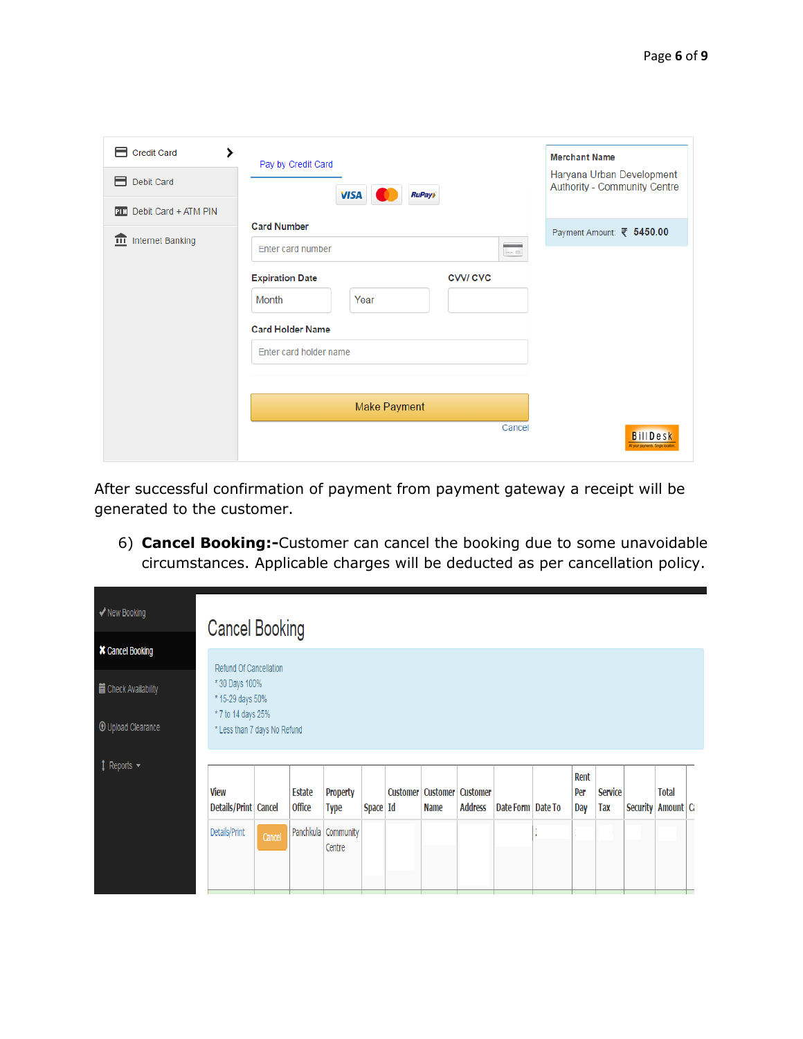| Credit Card<br>⋗<br>Debit Card<br>⊟<br>Debit Card + ATM PIN<br>PIN | Pay by Credit Card<br><b>VISA</b><br><b>RuPay)</b>                                                                                                                                                               | <b>Merchant Name</b><br>Haryana Urban Development<br><b>Authority - Community Centre</b> |
|--------------------------------------------------------------------|------------------------------------------------------------------------------------------------------------------------------------------------------------------------------------------------------------------|------------------------------------------------------------------------------------------|
| $\overline{m}$ Internet Banking                                    | <b>Card Number</b><br><b>SANA - 1976</b><br>Enter card number<br>$\lim_{\rightarrow} \square$<br><b>Expiration Date</b><br><b>CVVI CVC</b><br>Month<br>Year<br><b>Card Holder Name</b><br>Enter card holder name | Payment Amount: ₹ 5450.00                                                                |
|                                                                    | <b>Make Payment</b><br>Cancel                                                                                                                                                                                    | <b>BillDesk</b><br>All your payments. Single location                                    |

After successful confirmation of payment from payment gateway a receipt will be generated to the customer.

6) **Cancel Booking:-**Customer can cancel the booking due to some unavoidable circumstances. Applicable charges will be deducted as per cancellation policy.

| ◆ New Booking             | <b>Cancel Booking</b>                              |        |                                |                                   |            |                 |             |                                            |                     |            |                              |                 |                             |  |
|---------------------------|----------------------------------------------------|--------|--------------------------------|-----------------------------------|------------|-----------------|-------------|--------------------------------------------|---------------------|------------|------------------------------|-----------------|-----------------------------|--|
| <b>*</b> Cancel Booking   | Refund Of Cancellation                             |        |                                |                                   |            |                 |             |                                            |                     |            |                              |                 |                             |  |
| Check Availability        | * 30 Days 100%<br>* 15-29 days 50%                 |        |                                |                                   |            |                 |             |                                            |                     |            |                              |                 |                             |  |
| <b>1</b> Upload Clearance | * 7 to 14 days 25%<br>* Less than 7 days No Refund |        |                                |                                   |            |                 |             |                                            |                     |            |                              |                 |                             |  |
| ↑ Reports ▼               |                                                    |        |                                |                                   |            |                 |             |                                            |                     | Rent       |                              |                 |                             |  |
|                           | <b>View</b><br>Details/Print Cancel                |        | <b>Estate</b><br><b>Office</b> | <b>Property</b><br><b>Type</b>    | Space   Id | <b>Customer</b> | <b>Name</b> | <b>Customer</b> Customer<br><b>Address</b> | Date Form   Date To | Per<br>Day | <b>Service</b><br><b>Tax</b> | <b>Security</b> | <b>Total</b><br>Amount   Ca |  |
|                           | Details/Print                                      | Cancel |                                | Panchkula   Community  <br>Centre |            |                 |             |                                            |                     |            |                              |                 |                             |  |
|                           |                                                    |        |                                |                                   |            |                 |             |                                            |                     |            |                              |                 |                             |  |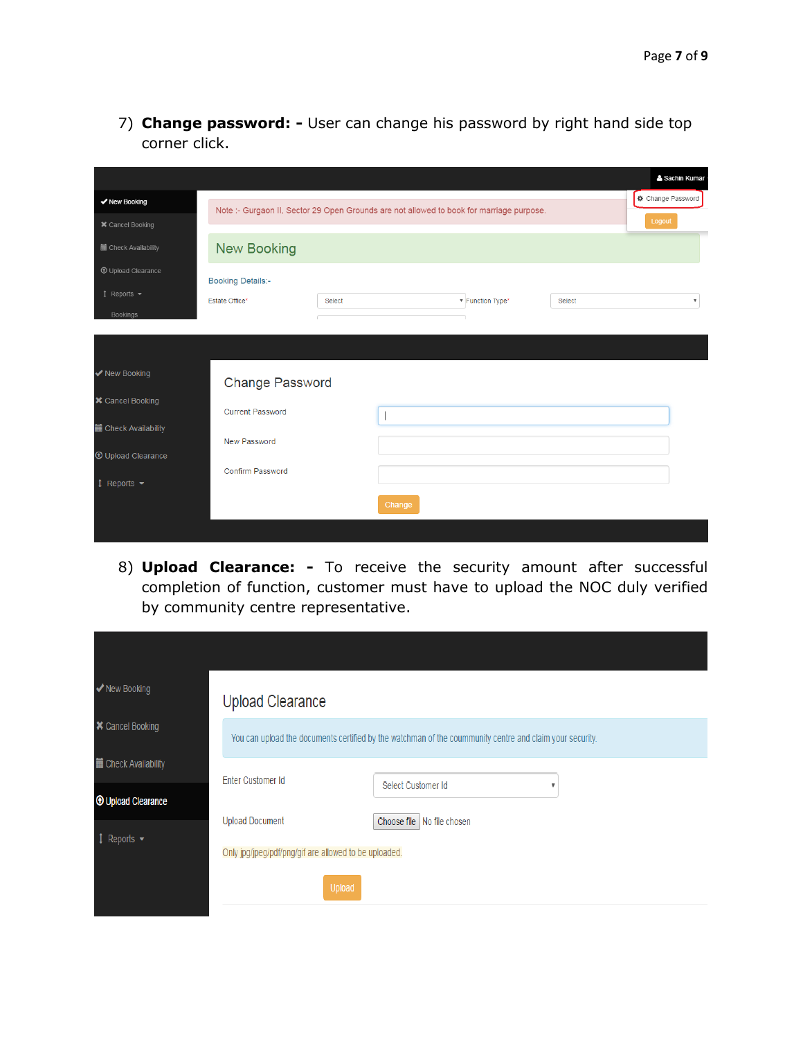7) **Change password: -** User can change his password by right hand side top corner click.

|                                          |                                                                                          |        |        |                  |        | <sup>2</sup> Sachin Kumar |
|------------------------------------------|------------------------------------------------------------------------------------------|--------|--------|------------------|--------|---------------------------|
| ◆ New Booking                            | Note :- Gurgaon II, Sector 29 Open Grounds are not allowed to book for marriage purpose. |        |        |                  |        | Change Password           |
| <b>*</b> Cancel Booking                  |                                                                                          |        |        |                  |        | Logout                    |
| <b>■</b> Check Availability              | <b>New Booking</b>                                                                       |        |        |                  |        |                           |
| <b>1</b> Upload Clearance                | <b>Booking Details:-</b>                                                                 |        |        |                  |        |                           |
| $\uparrow$ Reports $\blacktriangleright$ | Estate Office*                                                                           | Select |        | ▼ Function Type* | Select | $\overline{\mathbf{v}}$   |
| Bookings                                 |                                                                                          |        |        |                  |        |                           |
|                                          |                                                                                          |        |        |                  |        |                           |
| ◆ New Booking                            | Change Password                                                                          |        |        |                  |        |                           |
| <b>*</b> Cancel Booking                  | <b>Current Password</b>                                                                  |        |        |                  |        |                           |
| <b>■ Check Availability</b>              | New Password                                                                             |        |        |                  |        |                           |
| <b>1</b> Upload Clearance                |                                                                                          |        |        |                  |        |                           |
| $\updownarrow$ Reports $\star$           | <b>Confirm Password</b>                                                                  |        |        |                  |        |                           |
|                                          |                                                                                          |        | Change |                  |        |                           |
|                                          |                                                                                          |        |        |                  |        |                           |

8) **Upload Clearance: -** To receive the security amount after successful completion of function, customer must have to upload the NOC duly verified by community centre representative.

| ◆ New Booking                                | <b>Upload Clearance</b>                               |                                                                                                          |
|----------------------------------------------|-------------------------------------------------------|----------------------------------------------------------------------------------------------------------|
| <b>*</b> Cancel Booking                      |                                                       | You can upload the documents certified by the watchman of the coummunity centre and claim your security. |
| <b>■</b> Check Availability                  | Enter Customer Id                                     | Select Customer Id                                                                                       |
| <b>1</b> Upload Clearance                    | <b>Upload Document</b>                                | Choose file   No file chosen                                                                             |
| $\updownarrow$ Reports $\blacktriangleright$ | Only jpg/jpeg/pdf/png/gif are allowed to be uploaded. |                                                                                                          |
|                                              | Upload                                                |                                                                                                          |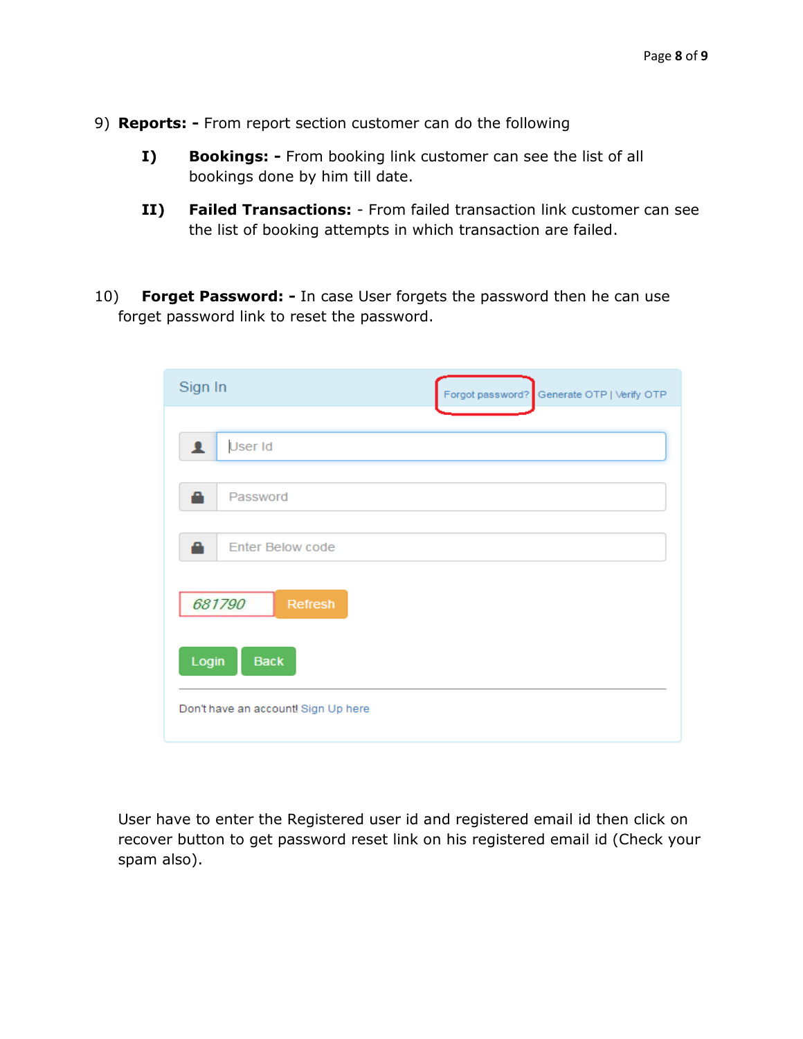- 9) **Reports: -** From report section customer can do the following
	- **I) Bookings: -** From booking link customer can see the list of all bookings done by him till date.
	- **II) Failed Transactions:**  From failed transaction link customer can see the list of booking attempts in which transaction are failed.
- 10) **Forget Password: -** In case User forgets the password then he can use forget password link to reset the password.

| Sign In                             | Forgot password?<br>Generate OTP   Verify OTP |
|-------------------------------------|-----------------------------------------------|
| User Id<br>1                        |                                               |
| Password<br>e                       |                                               |
| <b>Enter Below code</b><br>A        |                                               |
| 681790<br>Refresh                   |                                               |
| Login<br><b>Back</b>                |                                               |
| Don't have an account! Sign Up here |                                               |

User have to enter the Registered user id and registered email id then click on recover button to get password reset link on his registered email id (Check your spam also).